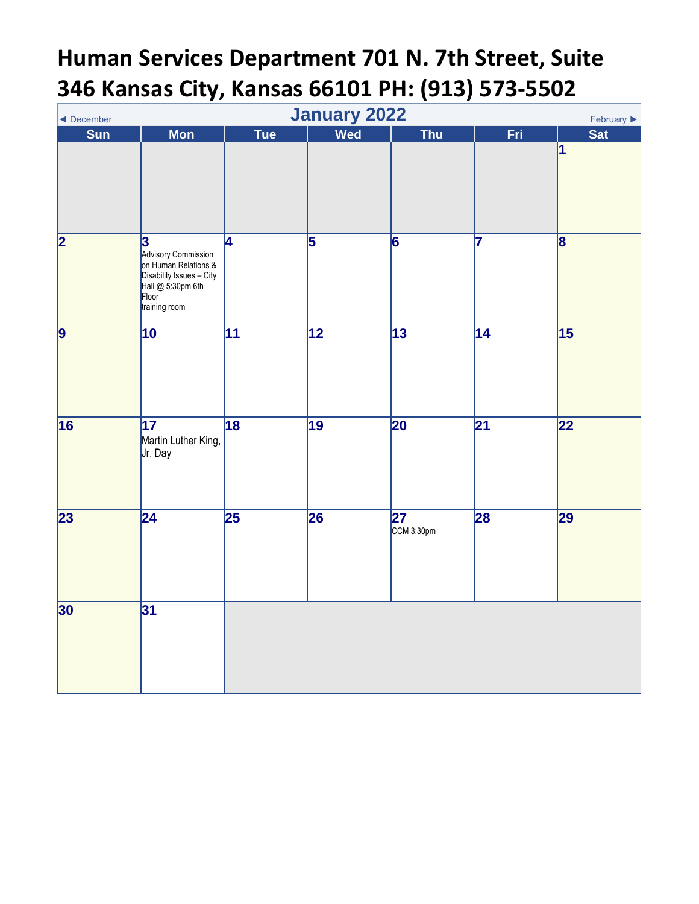## **Human Services Department 701 N. 7th Street, Suite 346 Kansas City, Kansas 66101 PH: (913) 573-5502**

<span id="page-0-0"></span>

| January 2022<br>February ▶<br>◀ December |                                                                                                                               |                 |                 |                               |                 |                 |  |  |
|------------------------------------------|-------------------------------------------------------------------------------------------------------------------------------|-----------------|-----------------|-------------------------------|-----------------|-----------------|--|--|
| <b>Sun</b>                               | <b>Mon</b>                                                                                                                    | <b>Tue</b>      | Wed             | <b>Thu</b>                    | <b>Fri</b>      | <b>Sat</b>      |  |  |
|                                          |                                                                                                                               |                 |                 |                               |                 | $\vert$ 1       |  |  |
| 2                                        | 3<br>Advisory Commission<br>on Human Relations &<br>Disability Issues – City<br>Hall $@$ 5:30pm 6th<br>Floor<br>training room | 4               | 5               | 6                             | 7               | $\mathbf{g}$    |  |  |
| $\vert$ 9                                | $\overline{10}$                                                                                                               | $\overline{11}$ | $\overline{12}$ | $\overline{13}$               | $\overline{14}$ | 15              |  |  |
| 16                                       | $\overline{17}$<br>Martin Luther King,<br>Jr. Day                                                                             | $\overline{18}$ | 19              | 20                            | $\overline{21}$ | $\overline{22}$ |  |  |
| 23                                       | $\overline{24}$                                                                                                               | $\overline{25}$ | 26              | $\overline{27}$<br>CCM 3:30pm | 28              | 29              |  |  |
| 30                                       | 31                                                                                                                            |                 |                 |                               |                 |                 |  |  |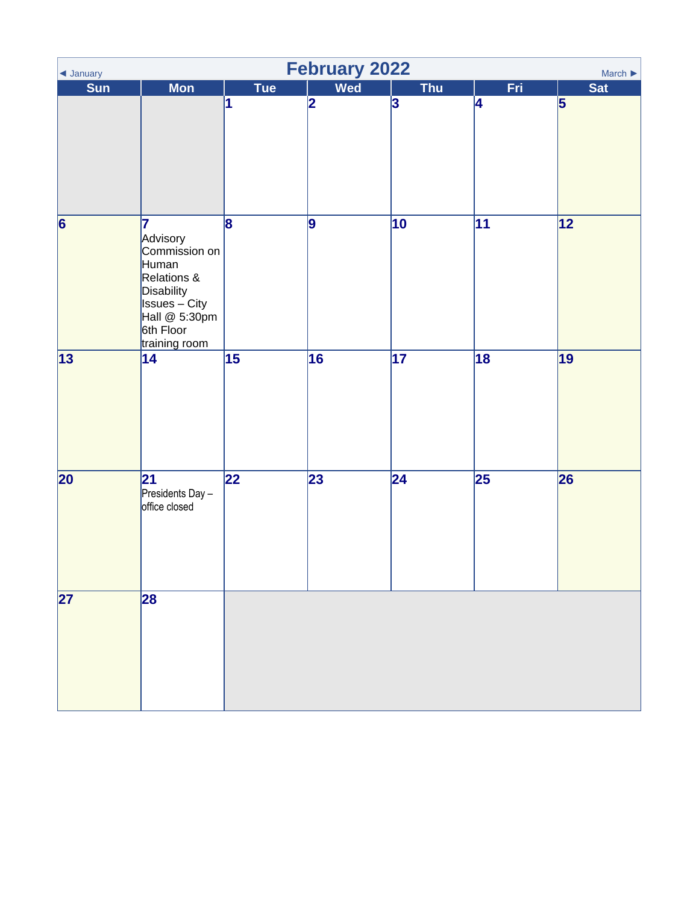<span id="page-1-0"></span>

| $\blacktriangleleft$ January | <b>February 2022</b><br>March $\blacktriangleright$                                                                                          |                 |            |                 |                 |                |  |  |
|------------------------------|----------------------------------------------------------------------------------------------------------------------------------------------|-----------------|------------|-----------------|-----------------|----------------|--|--|
| Sun                          | <b>Mon</b>                                                                                                                                   | Tue             | <b>Wed</b> | <b>Thu</b>      | Fri             | <b>Sat</b>     |  |  |
|                              |                                                                                                                                              | 1               | 2          | 3               | 4               | $\overline{5}$ |  |  |
| $\vert 6 \vert$              | 17<br>Advisory<br>Commission on<br>Human<br>Relations &<br>Disability<br><b>Issues</b> – City<br>Hall @ 5:30pm<br>6th Floor<br>training room | 8               | 9          | $\overline{10}$ | $\overline{11}$ | 12             |  |  |
| 13                           | $\overline{14}$                                                                                                                              | $\overline{15}$ | 16         | $\overline{17}$ | $\overline{18}$ | 19             |  |  |
| 20                           | 21 <br>Presidents Day -<br>office closed                                                                                                     | $\overline{22}$ | 23         | $\overline{24}$ | $\overline{25}$ | 26             |  |  |
| $\overline{27}$              | 28                                                                                                                                           |                 |            |                 |                 |                |  |  |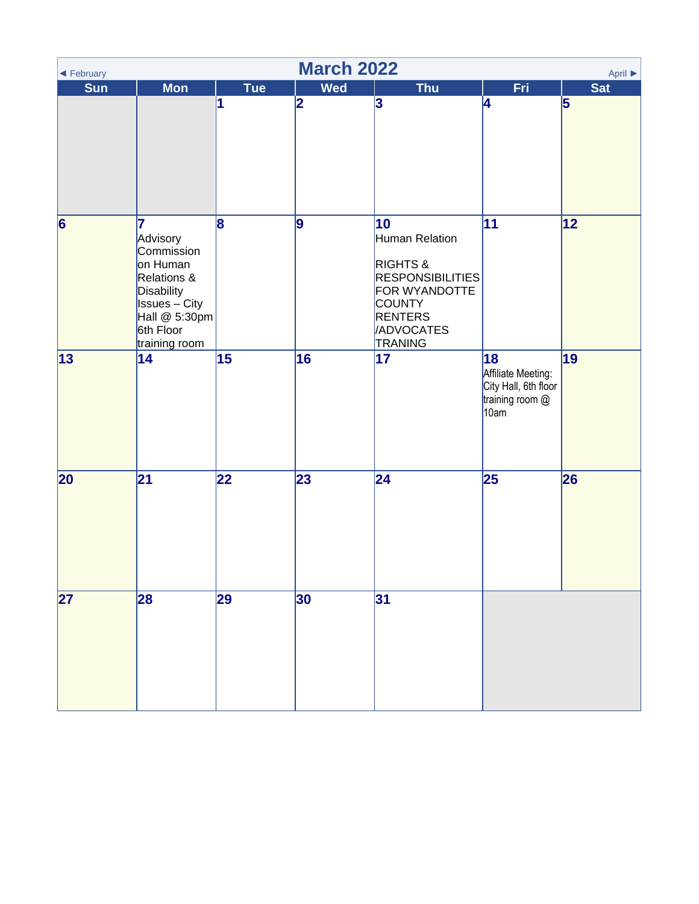<span id="page-2-0"></span>

| <b>March 2022</b><br>April $\blacktriangleright$<br>$\blacktriangleleft$ February |                                                                                                                                                    |                 |            |                                                                                                                                                                  |                                                                             |                         |  |  |  |
|-----------------------------------------------------------------------------------|----------------------------------------------------------------------------------------------------------------------------------------------------|-----------------|------------|------------------------------------------------------------------------------------------------------------------------------------------------------------------|-----------------------------------------------------------------------------|-------------------------|--|--|--|
| <b>Sun</b>                                                                        | <b>Mon</b>                                                                                                                                         | <b>Tue</b>      | <b>Wed</b> | <b>Thu</b>                                                                                                                                                       | Fri                                                                         | <b>Sat</b>              |  |  |  |
|                                                                                   |                                                                                                                                                    | 1               | 2          | 3                                                                                                                                                                | 4                                                                           | $\overline{\mathbf{5}}$ |  |  |  |
| $\vert 6 \vert$                                                                   | 7<br>Advisory<br>Commission<br>on Human<br>Relations &<br><b>Disability</b><br><b>Issues</b> – City<br>Hall @ 5:30pm<br>6th Floor<br>training room | 8               | 9          | 10<br>Human Relation<br><b>RIGHTS &amp;</b><br><b>RESPONSIBILITIES</b><br>FOR WYANDOTTE<br><b>COUNTY</b><br><b>RENTERS</b><br><b>ADVOCATES</b><br><b>TRANING</b> | 11                                                                          | 12                      |  |  |  |
| 13                                                                                | 14                                                                                                                                                 | 15              | 16         | 17                                                                                                                                                               | 18<br>Affiliate Meeting:<br>City Hall, 6th floor<br>training room @<br>10am | 19                      |  |  |  |
| 20                                                                                | 21                                                                                                                                                 | $\overline{2}2$ | 23         | $\overline{24}$                                                                                                                                                  | 25                                                                          | 26                      |  |  |  |
| 27                                                                                | 28                                                                                                                                                 | 29              | 30         | 31                                                                                                                                                               |                                                                             |                         |  |  |  |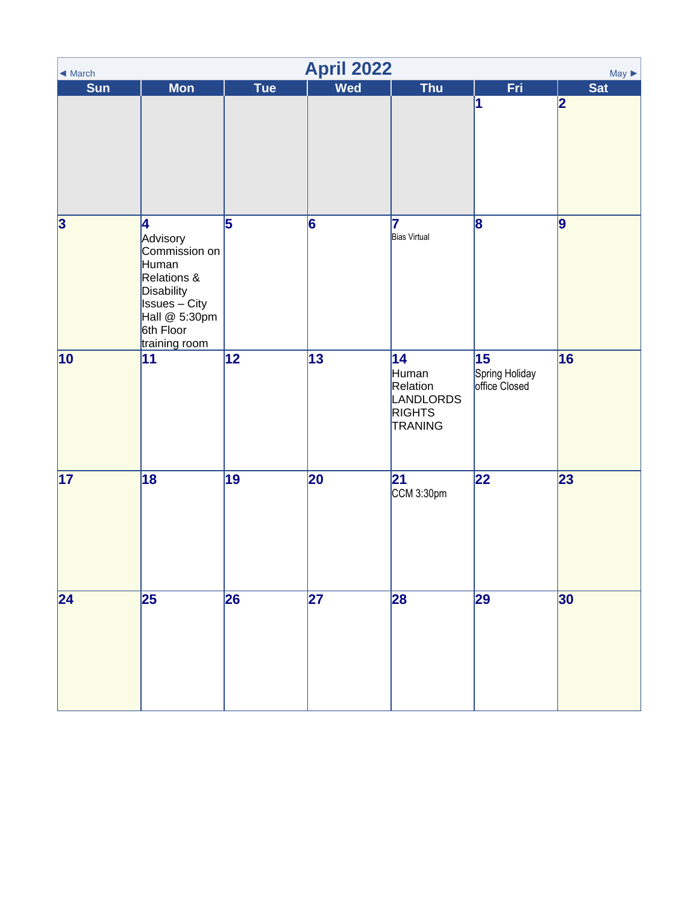<span id="page-3-0"></span>

| $\blacktriangleleft$ March | <b>April 2022</b><br>$May \triangleright$                                                                                                   |            |                 |                                                                         |                                       |                |  |  |  |
|----------------------------|---------------------------------------------------------------------------------------------------------------------------------------------|------------|-----------------|-------------------------------------------------------------------------|---------------------------------------|----------------|--|--|--|
| <b>Sun</b>                 | <b>Mon</b>                                                                                                                                  | <b>Tue</b> | <b>Wed</b>      | <b>Thu</b>                                                              | Fri.                                  | <b>Sat</b>     |  |  |  |
|                            |                                                                                                                                             |            |                 |                                                                         | 1                                     | 2              |  |  |  |
| $\overline{\mathbf{3}}$    | 4<br>Advisory<br>Commission on<br>Human<br>Relations &<br>Disability<br><b>Issues</b> – City<br>Hall @ 5:30pm<br>6th Floor<br>training room | 5          | 6               | 17<br><b>Bias Virtual</b>                                               | 8                                     | $\overline{9}$ |  |  |  |
| $ 10\rangle$               | 11                                                                                                                                          | 12         | 13              | 14<br>Human<br>Relation<br>LANDLORDS<br><b>RIGHTS</b><br><b>TRANING</b> | 15<br>Spring Holiday<br>office Closed | 16             |  |  |  |
| 17                         | $\overline{18}$                                                                                                                             | 19         | $\overline{20}$ | 21 <br>CCM 3:30pm                                                       | $\overline{22}$                       | 23             |  |  |  |
| 24                         | 25                                                                                                                                          | 26         | 27              | 28                                                                      | 29                                    | 30             |  |  |  |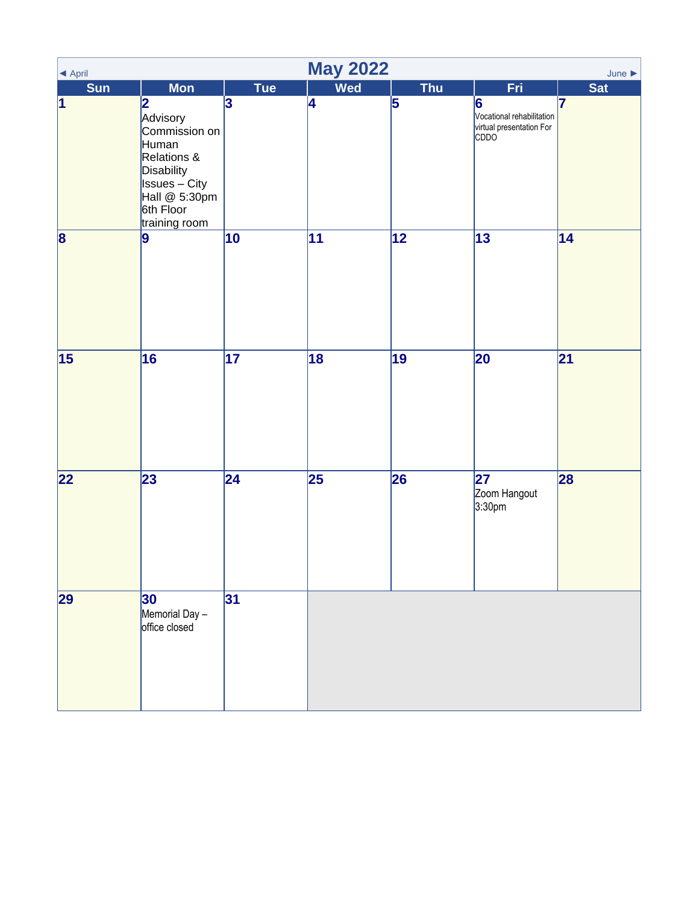<span id="page-4-0"></span>

| ◀ April                 |                                                                                                                                                                               |                 | <b>May 2022</b> |                 |                                                                            | June $\blacktriangleright$ |
|-------------------------|-------------------------------------------------------------------------------------------------------------------------------------------------------------------------------|-----------------|-----------------|-----------------|----------------------------------------------------------------------------|----------------------------|
| <b>Sun</b><br>$\vert$ 1 | <b>Mon</b><br> 2 <br>Advisory<br>Commission on<br>Human<br>Relations &<br>Disability<br>$\overline{\phantom{a}}$ Issues – City<br>Hall @ 5:30pm<br>6th Floor<br>training room | Tue<br>3        | <b>Wed</b><br>4 | <b>Thu</b><br>5 | Fri.<br>6<br>Vocational rehabilitation<br>virtual presentation For<br>CDDO | <b>Sat</b><br>17           |
| $\vert 8 \vert$         | $\vert$ 9                                                                                                                                                                     | 10              | 11              | 12              | 13                                                                         | 14                         |
| 15                      | 16                                                                                                                                                                            | 17              | 18              | 19              | 20                                                                         | 21                         |
| 22                      | $\overline{23}$                                                                                                                                                               | $\overline{24}$ | $\overline{25}$ | 26              | 27<br>Zoom Hangout<br>3:30pm                                               | 28                         |
| 29                      | 30 <br>Memorial Day -<br>office closed                                                                                                                                        | 31              |                 |                 |                                                                            |                            |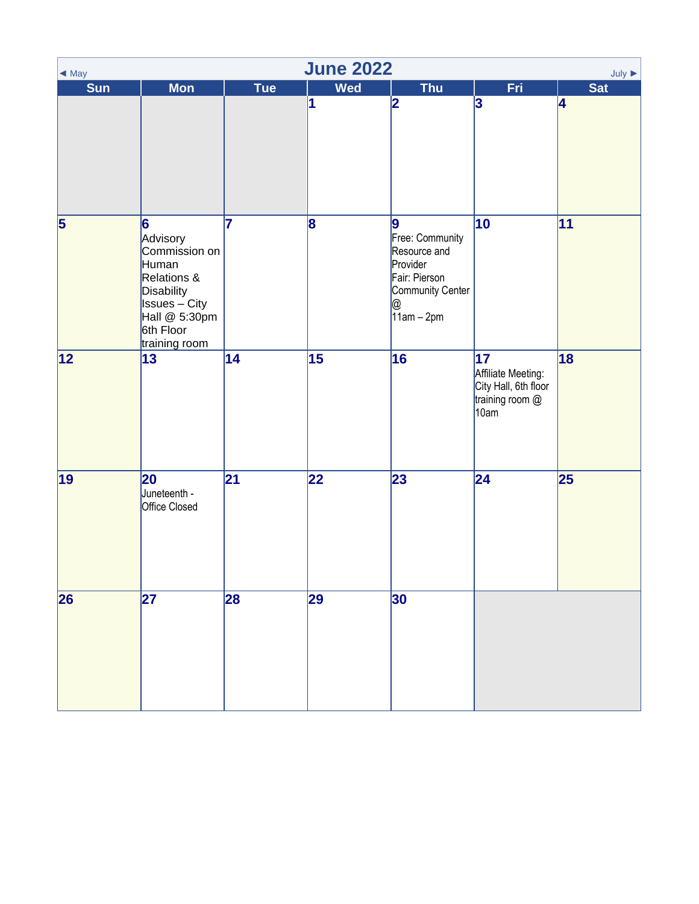<span id="page-5-0"></span>

| <b>June 2022</b><br>July $\blacktriangleright$<br>$\triangleleft$ May |                                                                                                                                                                            |     |            |                                                                                                             |                                                                                          |            |  |  |
|-----------------------------------------------------------------------|----------------------------------------------------------------------------------------------------------------------------------------------------------------------------|-----|------------|-------------------------------------------------------------------------------------------------------------|------------------------------------------------------------------------------------------|------------|--|--|
| <b>Sun</b>                                                            | <b>Mon</b>                                                                                                                                                                 | Tue | <b>Wed</b> | Thu                                                                                                         | Fri.                                                                                     | <b>Sat</b> |  |  |
|                                                                       |                                                                                                                                                                            |     | 1          | 2                                                                                                           | 3                                                                                        | 4          |  |  |
| 5                                                                     | 6<br>Advisory<br>Commission on<br>Human<br>Relations &<br>Disability<br>$\overline{\phantom{a}}$ Issues $\overline{-}$ City<br>Hall @ 5:30pm<br>6th Floor<br>training room | 7   | 8          | 9<br>Free: Community<br>Resource and<br>Provider<br>Fair: Pierson<br>Community Center<br>@<br>$11$ am – 2pm | 10                                                                                       | 11         |  |  |
| 12                                                                    | 13                                                                                                                                                                         | 14  | 15         | 16                                                                                                          | $\overline{17}$<br>Affiliate Meeting:<br>City Hall, 6th floor<br>training room @<br>10am | 18         |  |  |
| 19                                                                    | 20<br>Juneteenth -<br>Office Closed                                                                                                                                        | 21  | 22         | 23                                                                                                          | 24                                                                                       | 25         |  |  |
| 26                                                                    | 27                                                                                                                                                                         | 28  | 29         | 30                                                                                                          |                                                                                          |            |  |  |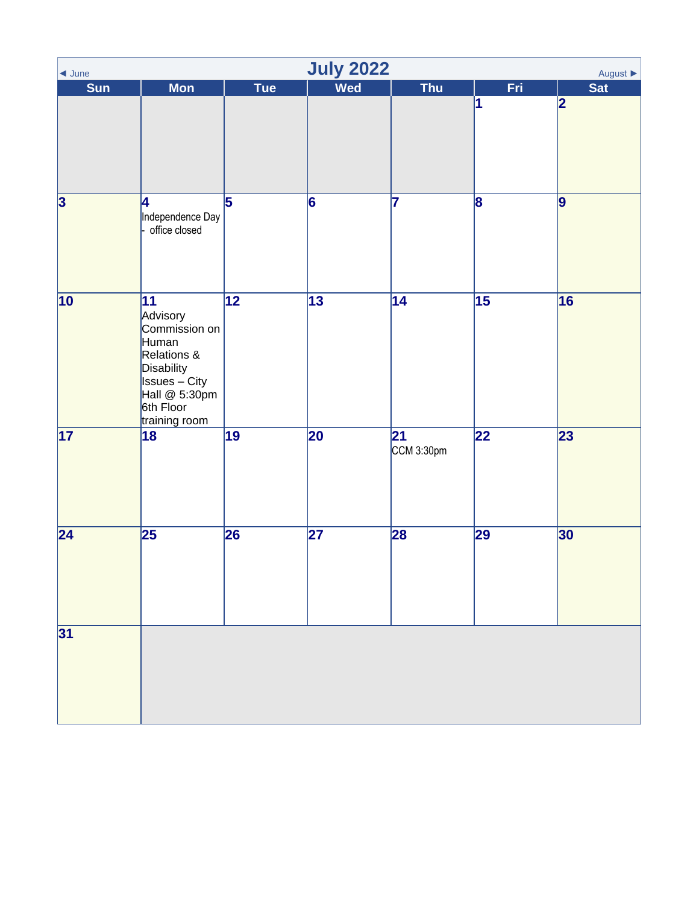<span id="page-6-0"></span>

| $\triangleleft$ June    | <b>July 2022</b><br>August $\blacktriangleright$                                                                                                       |                 |                 |                   |                 |                |  |  |  |
|-------------------------|--------------------------------------------------------------------------------------------------------------------------------------------------------|-----------------|-----------------|-------------------|-----------------|----------------|--|--|--|
| <b>Sun</b>              | <b>Mon</b>                                                                                                                                             | Tue             | <b>Wed</b>      | Thu               | Fri.            | <b>Sat</b>     |  |  |  |
|                         |                                                                                                                                                        |                 |                 |                   | 1               | 2              |  |  |  |
| $\overline{\mathbf{3}}$ | 4<br>Independence Day<br>office closed                                                                                                                 | $\overline{5}$  | $\overline{6}$  | 7                 | 8               | $\overline{9}$ |  |  |  |
| $ 10\rangle$            | $ 11\rangle$<br>Advisory<br>Commission on<br>Human<br>Relations &<br>Disability<br><b>Issues</b> – City<br>Hall @ 5:30pm<br>6th Floor<br>training room | $\overline{12}$ | 13              | 14                | $\overline{15}$ | 16             |  |  |  |
| 17                      | $\overline{18}$                                                                                                                                        | $\overline{19}$ | 20              | 21 <br>CCM 3:30pm | $\overline{22}$ | 23             |  |  |  |
| 24                      | 25                                                                                                                                                     | 26              | $\overline{27}$ | 28                | 29              | 30             |  |  |  |
| 31                      |                                                                                                                                                        |                 |                 |                   |                 |                |  |  |  |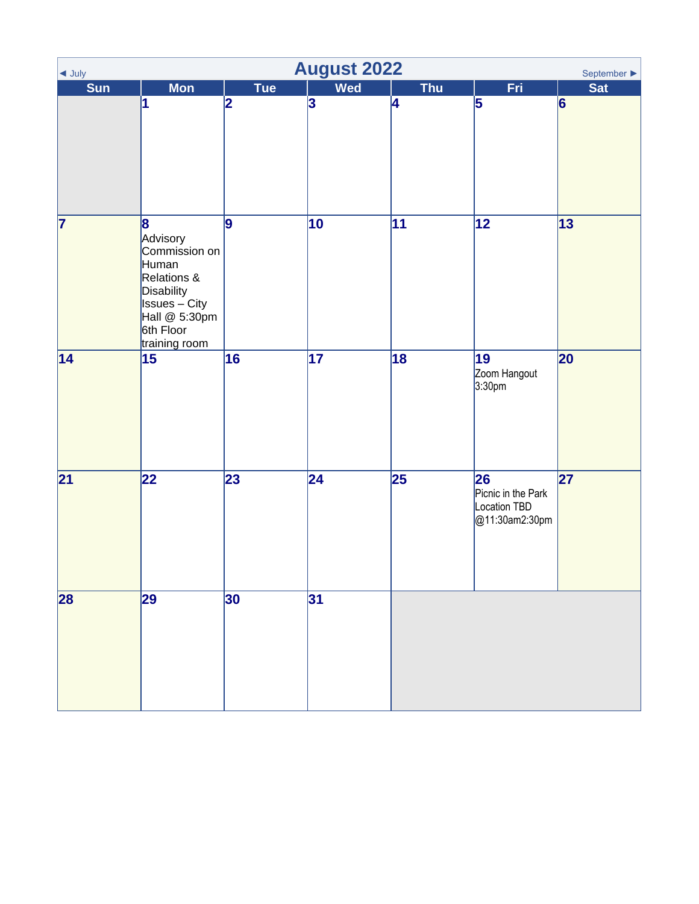<span id="page-7-0"></span>

| <b>August 2022</b><br>September $\blacktriangleright$<br>$\blacktriangleleft$ July |                                                                                                                                                                            |     |                         |                 |                                                            |            |  |
|------------------------------------------------------------------------------------|----------------------------------------------------------------------------------------------------------------------------------------------------------------------------|-----|-------------------------|-----------------|------------------------------------------------------------|------------|--|
| Sun                                                                                | <b>Mon</b>                                                                                                                                                                 | Tue | <b>Wed</b>              | <b>Thu</b>      | Fri:                                                       | <b>Sat</b> |  |
|                                                                                    | 1                                                                                                                                                                          | 2   | $\overline{\mathbf{3}}$ | 4               | 5                                                          | 6          |  |
| $\overline{\mathbf{7}}$                                                            | 8<br>Advisory<br>Commission on<br>Human<br>Relations &<br>Disability<br>$\overline{\phantom{a}}$ Issues $\overline{-}$ City<br>Hall @ 5:30pm<br>6th Floor<br>training room | 9   | 10                      | $\overline{11}$ | 12                                                         | 13         |  |
| 14                                                                                 | 15                                                                                                                                                                         | 16  | $\overline{17}$         | $\overline{18}$ | 19<br>Zoom Hangout<br>3:30pm                               | 20         |  |
| 21                                                                                 | 22                                                                                                                                                                         | 23  | 24                      | $\overline{25}$ | 26<br>Picnic in the Park<br>Location TBD<br>@11:30am2:30pm | 27         |  |
| 28                                                                                 | 29                                                                                                                                                                         | 30  | 31                      |                 |                                                            |            |  |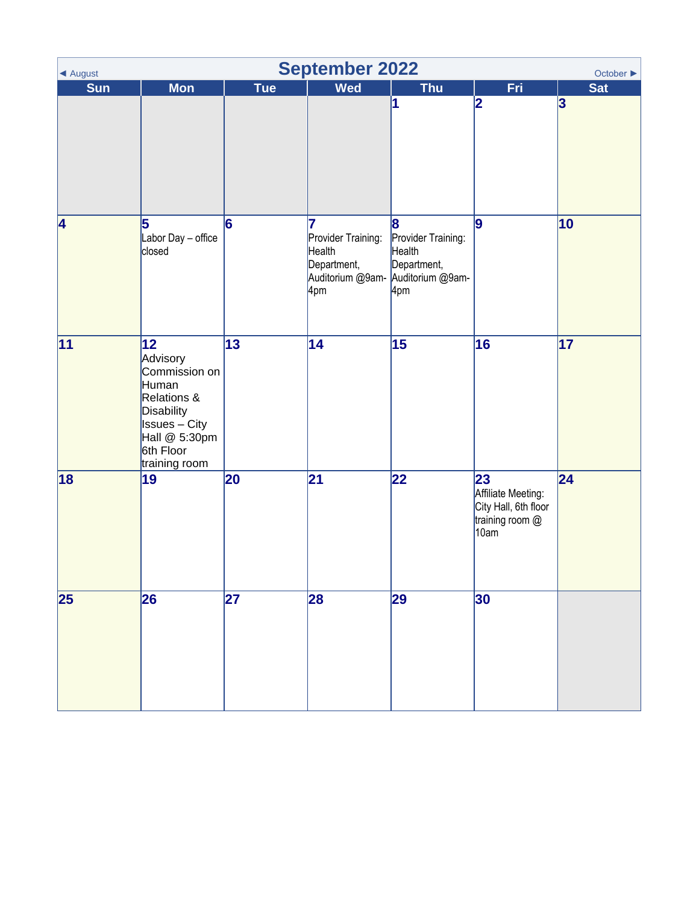<span id="page-8-0"></span>

| ◀ August        | <b>September 2022</b><br>October ▶                                                                                                            |            |                                                                              |                                                                             |                                                                             |                 |  |  |  |
|-----------------|-----------------------------------------------------------------------------------------------------------------------------------------------|------------|------------------------------------------------------------------------------|-----------------------------------------------------------------------------|-----------------------------------------------------------------------------|-----------------|--|--|--|
| <b>Sun</b>      | <b>Mon</b>                                                                                                                                    | <b>Tue</b> | <b>Wed</b>                                                                   | <b>Thu</b>                                                                  | <b>Fri</b>                                                                  | Sat             |  |  |  |
|                 |                                                                                                                                               |            |                                                                              | 1                                                                           | 2                                                                           | 3               |  |  |  |
| 4               | 5<br>Labor Day - office<br>closed                                                                                                             | 6          | 17<br>Provider Training:<br>Health<br>Department,<br>Auditorium @9am-<br>4pm | 8<br>Provider Training:<br>Health<br>Department,<br>Auditorium @9am-<br>4pm | 9                                                                           | 10              |  |  |  |
| $\overline{11}$ | 12 <br>Advisory<br>Commission on<br>Human<br>Relations &<br>Disability<br><b>Issues</b> - City<br>Hall @ 5:30pm<br>6th Floor<br>training room | 13         | 14                                                                           | 15                                                                          | 16                                                                          | $\overline{17}$ |  |  |  |
| 18              | 19                                                                                                                                            | 20         | 21                                                                           | 22                                                                          | 23<br>Affiliate Meeting:<br>City Hall, 6th floor<br>training room @<br>10am | 24              |  |  |  |
| 25              | 26                                                                                                                                            | 27         | 28                                                                           | 29                                                                          | 30                                                                          |                 |  |  |  |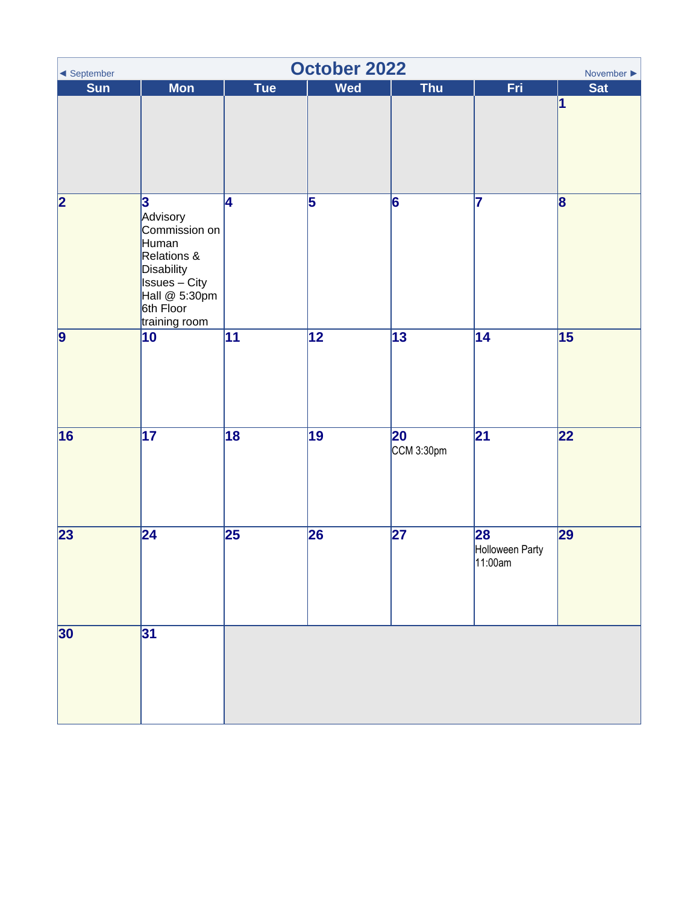<span id="page-9-0"></span>

| October 2022<br>November $\blacktriangleright$<br>$\blacktriangleleft$ September |                                                                                                                                             |                 |            |                  |                                  |                         |  |  |
|----------------------------------------------------------------------------------|---------------------------------------------------------------------------------------------------------------------------------------------|-----------------|------------|------------------|----------------------------------|-------------------------|--|--|
| Sun                                                                              | <b>Mon</b>                                                                                                                                  | <b>Tue</b>      | <b>Wed</b> | Thu              | Fri.                             | <b>Sat</b>              |  |  |
|                                                                                  |                                                                                                                                             |                 |            |                  |                                  | 1                       |  |  |
| $\overline{\mathbf{2}}$                                                          | 3<br>Advisory<br>Commission on<br>Human<br>Relations &<br>Disability<br><b>Issues</b> – City<br>Hall @ 5:30pm<br>6th Floor<br>training room | 4               | 5          | 6                | 17                               | $\overline{\mathbf{8}}$ |  |  |
| 9                                                                                | 10                                                                                                                                          | 11              | 12         | $\overline{13}$  | $\overline{14}$                  | 15                      |  |  |
| 16                                                                               | $\overline{17}$                                                                                                                             | 18              | 19         | 20<br>CCM 3:30pm | 21                               | 22                      |  |  |
| 23                                                                               | $\overline{24}$                                                                                                                             | $\overline{25}$ | 26         | $\overline{27}$  | 28<br>Holloween Party<br>11:00am | 29                      |  |  |
| 30                                                                               | 31                                                                                                                                          |                 |            |                  |                                  |                         |  |  |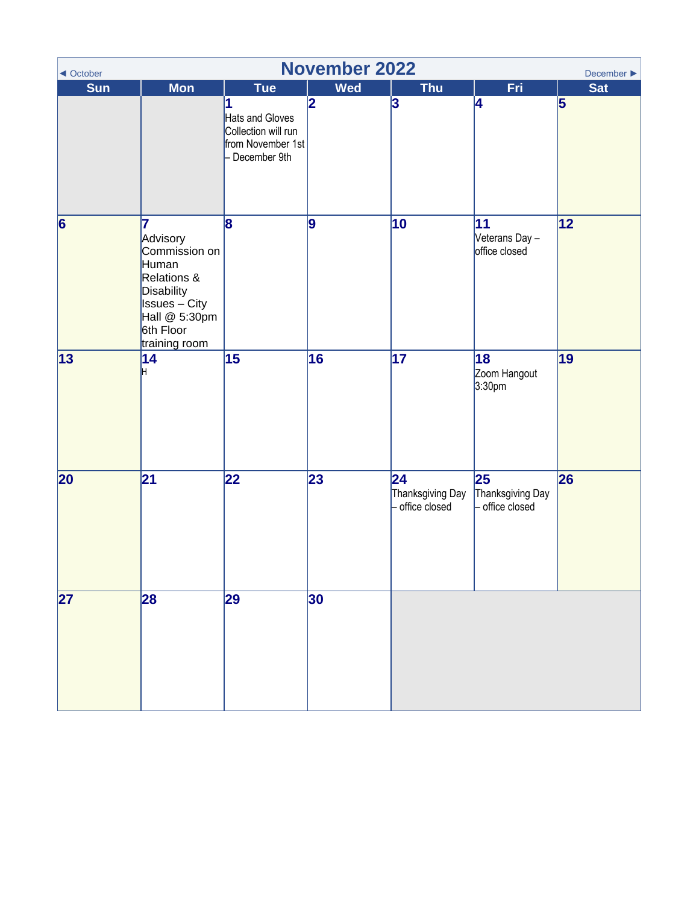<span id="page-10-0"></span>

| ◀ October      | <b>November 2022</b><br>December $\blacktriangleright$                                                                                             |                                                                                                  |                  |                                         |                                           |                              |  |  |
|----------------|----------------------------------------------------------------------------------------------------------------------------------------------------|--------------------------------------------------------------------------------------------------|------------------|-----------------------------------------|-------------------------------------------|------------------------------|--|--|
| <b>Sun</b>     | <b>Mon</b>                                                                                                                                         | <b>Tue</b><br>1<br>Hats and Gloves<br>Collection will run<br>from November 1st<br>- December 9th | <b>Wed</b><br> 2 | <b>Thu</b><br>3                         | Fri<br>4                                  | <b>Sat</b><br>$\overline{5}$ |  |  |
| $\overline{6}$ | 7<br>Advisory<br>Commission on<br>Human<br>Relations &<br><b>Disability</b><br><b>Issues</b> – City<br>Hall @ 5:30pm<br>6th Floor<br>training room | 8                                                                                                | 9                | 10                                      | 11<br>Veterans Day -<br>office closed     | 12                           |  |  |
| 13             | 14<br>H                                                                                                                                            | 15                                                                                               | 16               | $\overline{17}$                         | 18<br>Zoom Hangout<br>3:30pm              | 19                           |  |  |
| 20             | 21                                                                                                                                                 | 22                                                                                               | 23               | 24<br>Thanksgiving Day<br>office closed | 25<br>Thanksgiving Day<br>- office closed | 26                           |  |  |
| 27             | 28                                                                                                                                                 | 29                                                                                               | 30               |                                         |                                           |                              |  |  |